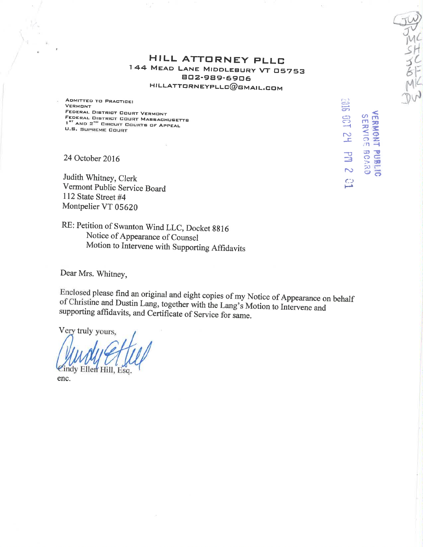# HILL ATTORNEY PLLC 744 MEAD LANE MIDDLEBURY VT 05753<br>BO2-989-6906  $HILLATTORNEYPLLC@GMALLGOM$

 $G\mu$ 

 $\widetilde{\mathcal{J}'_{\mathcal{M}}}$ 

sil tt?

r1)

H<sub>2</sub> 138 1

 $\mathbb{C}$ 

ទ<br>ខ<br>ខេ **អ្ន** 

-f ÐA. A\* õ

 $\frac{2}{3}$  $\mathbf{e}$   $\mathbf{e}$ 

µ<br>2890<br>2890

ADMITTED TO PRACTICE: VERMONT<br>FEDERAL DISTRICT COURT VERMONT FEDERAL DISTRICT COURT VERMONT<br>FEDERAL DISTRICT COURT MASSACHUSETT<br>- #T l<sup>et</sup> AND 2"" CIRCUIT COURTS OF APPEAL<br>U.S. SUPREME COURT

24 October 2016

Judith Whitney, Clerk Vermont Public Service Board I 12 State Street #4 Montpelier VT 05620

RE: Petition of Swanton Wind LLC, Docket 8816 Notice of Appearance of Counsel Motion to Intervene with Supporting Affidavits

Dear Mrs. Whitney,

Enclosed please find an original and eight copies of my Notice of Appearance on behalf of Christine and Dustin Lang, together with the Lang's Motion to Intervene and supporting affidavits, and Certificate of Service for sa

Very truly yours. indy Ellen Hill, Esq. enc.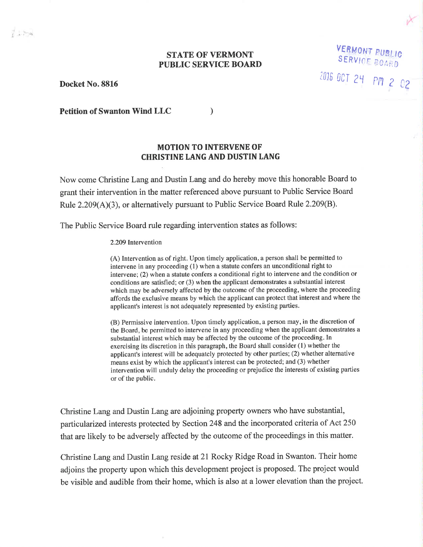### STATE OF VERMONT PUBLIC SERVICE BOARD

Docket No.8816

VERMONT PUgtt0 SERVICE BOARD 2016 OCT 24 PM 2 02

Petition of Swanton Wind LLC

### MOTION TO INTERVENE OF CHRISTINE LANG AND DUSTIN LANG

)

Now come Christine Lang and Dustin Lang and do hereby move this honorable Board to grant their intervention in the matter referenced above pursuant to Public Service Board Rule  $2.209(A)(3)$ , or alternatively pursuant to Public Service Board Rule  $2.209(B)$ .

The Public Service Board rule regarding intervention states as follows:

#### 2.209 Intervention

(A) Intervention as of right. Upon timely application, a person shall be permitted to intervene in any proceeding (1) when a statute confers an unconditional right to intervene; (2) when a statute confers a conditional right to intervene and the condition or conditions are satisfied; or (3) when the applicant demonstrates a substantial interest which may be adversely affected by the outcome of the proceeding, where the proceeding affords the exclusive means by which the applicant can protect that interest and where the applicant's interest is not adequately represented by existing parties.

(B) Permissive intervention. Upon timely application, a person may, in the discretion of the Board, be permitted to intervene in any proceeding when the applicant demonstrates a substantial interest which may be affected by the outcome of the proceeding. In exercising its discretion in this paragraph, the Board shall consider (1) whether the applicant's interest will be adequately protected by other parties; (2) whether alternative means exist by which the applicant's interest can be protected; and (3) whether intervention will unduly delay the proceeding or prejudice the interests of existing parties or of the public.

Christine Lang and Dustin Lang are adjoining property owners who have substantial, particularized interests protected by Section 248 and the incorporated criteria of Act 250 that are likely to be adversely affected by the outcome of the proceedings in this matter.

Christine Lang and Dustin Lang reside at2l Rocky Ridge Road in Swanton. Their home adjoins the property upon which this development project is proposed. The project would be visible and audible from their home, which is also at a lower elevation than the project.

 $7 + 84$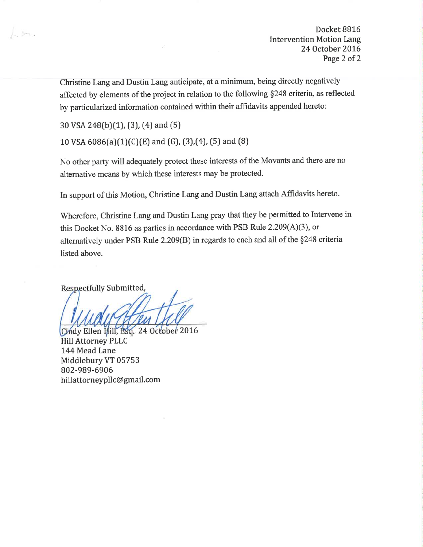Docket 88L6 Intervention Motion Lang 24 October 2016 Page 2 of 2

Christine Lang and Dustin Lang anticipate, at a minimum, being directly negatively affected by elements of the project in relation to the following \$248 criteria, as reflected by particularized information contained within their affidavits appended hereto:

30 VSA 248(b)(1), (3), (4) and (5)

La Brita

10 VSA  $6086(a)(1)(C)(E)$  and  $(G)$ ,  $(3),(4)$ ,  $(5)$  and  $(8)$ 

No other party will adequately protect these interests of the Movants and there are no alternative means by which these interests may be protected.

In support of this Motion, Christine Lang and Dustin Lang attach Affidavits hereto.

Wherefore, Christine Lang and Dustin Lang pray that they be permitted to Intervene in this Docket No. 8816 as parties in accordance with PSB Rule 2.209(A)(3), or alternatively under PSB Rule 2.209(B) in regards to each and all of the \$248 criteria listed above.

Respectfully Submitted,

Cindy Ellen Hill, Esq. 24 October 2016 Hill Attorney PLLC 144 Mead Lane Middlebury VT 05753 802-989-6906 hillattorneypllc@gmail.com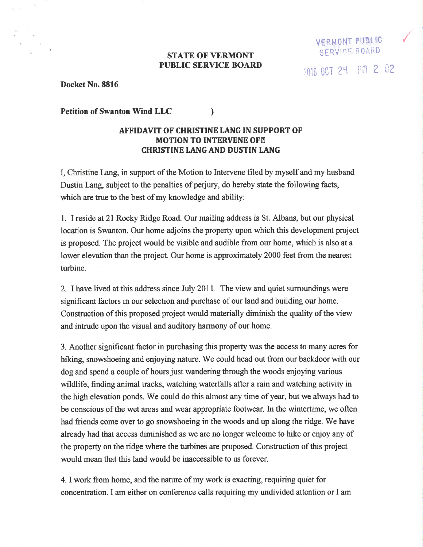#### **STATE OF VERMONT** PUBLIC SERVICE BOARI)

VERMONT PUBLIC SERVICE BOARD

/

2016 OCT 24 PM 2 02

Docket No.8816

Petition of Swanton Wind LLC )

## AFFTDAVIT OF CHRISTINE IANG IN SUPPORT OF **MOTION TO INTERVENE OF ??** CHRISTINE IANG AND DUSTIN IANG

I, Christine Lang, in support of the Motion to Intervene filed by myself and my husband Dustin Lang, subject to the penalties of perjury, do hereby state the following facts, which are true to the best of my knowledge and ability:

1. I reside at 21 Rocky Ridge Road. Our mailing address is St. Albans, but our physical location is Swanton. Our home adjoins the property upon which this development project is proposed. The project would be visible and audible from our home, which is also at a lower elevation than the project. Our home is approximately 2000 feet from the nearest turbine.

2. I have lived at this address since July 2011. The view and quiet surroundings were significant factors in our selection and purchase of our land and building our home. Construction of this proposed project would materially diminish the quality of the view and intrude upon the visual and auditory harmony of our home.

3. Another significant factor in purchasing this properly was the access to many acres for hiking, snowshoeing and enjoying nature. We could head out from our backdoor with our dog and spend a couple of hours just wandering through the woods enjoying various wildlife, finding animal tracks, watching waterfalls after a rain and watching activity in the high elevation ponds. We could do this almost any time of year, but we always had to be conscious of the wet areas and wear appropriate footwear. In the wintertime, we often had friends come over to go snowshoeing in the woods and up along the ridge. We have already had that access diminished as we âre no longer welcome to hike or enjoy any of the property on the ridge where the turbines are proposed. Construction of this project would mean that this land would be inaccessible to us forever.

4. I work from home, and the nature of my work is exacting, requiring quiet for concentration. I am either on conference calls requiring my undivided attention or I am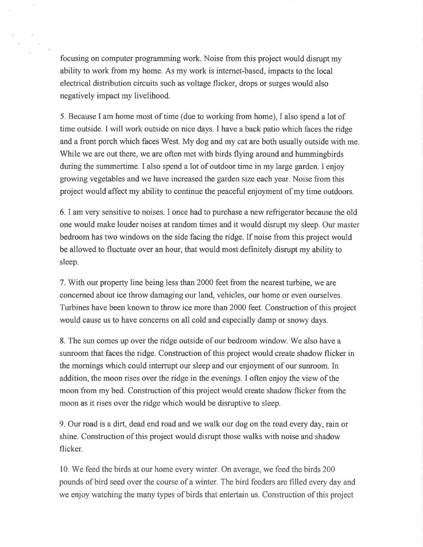focusing on computer programming work. Noise from this project would disrupt my ability to work from my home. As my work is internet-based, impacts to the local electrical distribution circuits such as voltage flicker, drops or surges would also negatively impact my livelihood.

5. Because I am home most of time (due to working from home), I also spend a lot of time outside. I will work outside on nice days. I have a back patio which faces the ridge and a front porch which faces West. My dog and my cat are both usually outside with me. While we are out there, we are often met with birds flying around and hummingbirds during the summertime. I also spend a lot of outdoor time in my large garden. I enjoy growing vegetables and we have increased the garden size each year. Noise from this project would affect my ability to continue the peaceful enjoyment of my time outdoors.

6.I am very sensitive to noises. I once had to purchase a new refrigerator because the old one would make louder noises at random times and it would disrupt my sleep, Our master bedroom has two windows on the side facing the ridge. If noise from this project would be allowed to fluctuate over an hour, that would most definitely disrupt my ability to sleep.

7. With our property line being less than 2000 feet from the nearest turbine, we are concerned about ice throw damaging our land, vehicles, our home or even ourselves. Turbines have been known to throw ice more than 2000 feet. Construction ofthis project would cause us to have concerns on all cold and especially damp or snowy days.

8. The sun comes up over the ridge outside of our bedroom window. We also have a sunroom that faces the ridge. Construction of this project would create shadow flicker in the mornings which could interrupt our sleep and our enjoyment of our sunroom. In addition, the moon rises over the ridge in the evenings. I often enjoy the view of the moon from my bed. Construction of this project would create shadow flicker from the moon as it rises over the ridge which would be disruptive to sleep.

9. Our road is a dirt, dead end road and we walk our dog on the road every day, rain or shine. Construction ofthis project would disrupt those walks with noise and shadow flicker.

10. We feed the birds at our home every winter. On average, we feed the birds 200 pounds of bird seed over the course of a winter. The bird feeders are filled every day and we enjoy watching the many types of birds that entertain us. Construction of this project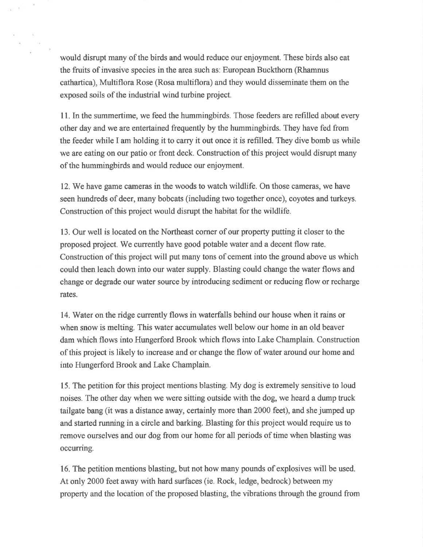would disrupt many of the birds and would reduce our enjoyment. These birds also eat the fruits of invasive species in the area such as: European Buckfhorn (Rhamnus cathartica), Multiflora Rose (Rosa multiflora) and they would disseminate them on the exposed soils of the industrial wind turbine project.

11. In the summertime, we feed the hummíngbirds. Those feeders are refilled about every other day and we are entertained frequently by the hummingbirds. They have fed from the feeder while I am holding it to carry it out once it is refilled. They dive bomb us while we are eating on our patio or front deck. Construction of this project would disrupt many of the hummingbirds and would reduce our enjoyrnent.

12. We have game cameras in the woods to watch wildlife. On those cameras, we have seen hundreds of deer, many bobcats (including two together once), coyotes and turkeys. Construction of this project would disrupt the habitat for the wildlife.

13. Our well is located on the Northeast corner of our property putting it closer to the proposed project. We currently have good potable water and a decent flow rate. Construction of this project will put many tons of cement into the ground above us which could then leach down into our water supply. Blasting could change the water flows and change or degrade our water source by introducing sediment or reducing flow or recharge rates.

14. Water on the ridge currently flows in waterfalls behind our house when it rains or when snow is melting. This water accumulates well below our home in an old beaver dam which flows into Hungerford Brook which flows into Lake Champlain. Construction of this project is likely to increase and or change the flow of water around our home and ínto Hungerford Brook and Lake Champlain.

15. The petition for this project mentions blasting. My dog is extremely sensitive to loud noises. The other day when we were sitting outside with the dog, we heard a dump truck tailgate bang (it was a distance away, certainly more than 2000 feet), and she jumped up and started running in a circle and barking. Blasting for this project would require us to remove ourselves and our dog from our home for all periods of time when blasting was occurring.

16. The petition mentions blasting, but not how many pounds of explosives will be used. At only 2000 feet away with hard surfaces (ie. Rock, ledge, bedrock) between my property and the location of the proposed blasting, the vibrations through the ground from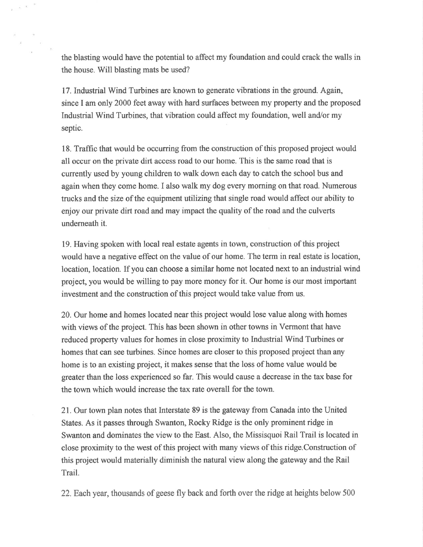the blasting would have the potential to affect my foundation and could crack the walls in the house. Will blasting mats be used?

 $\sim$ 

17. Industrial Wind Turbines are known to generate vibrations in the ground. Again, since I am only 2000 feet away with hard surfaces between my property and the proposed Industrial Wind Turbines, that vibration could affect my foundation, well and/or my septic.

18. Traffic that would be occurring from the construction of this proposed project would all occur on the private dirt access road to our home. This is the same road that is currently used by young children to walk down each day to catch the school bus and again when they come home. I also walk my dog every morning on that road. Numerous trucks and the size of the equipment utilizing that single road would affect our ability to enjoy our private dirt road and may impact the quality of the road and the culverts underneath it.

19. Having spoken with local real estate agents in town, construction of this project would have a negative effect on the value of our home. The term in real estate is location, location, location. If you can choose a similar home not located next to an industrial wind project, you would be willing to pay more money for it. Our home is our most important investment and the construction of this project would take value from us.

20. Our home and homes located near this project would lose value along with homes with views of the project. This has been shown in other towns in Vermont that have reduced properly values for homes in close proximity to Industrial Wind Turbines or homes that can see turbines. Since homes are closer to this proposed project than any home is to an existing project, it makes sense that the loss of home value would be greater than the loss experienced so far. This would cause a decrease in the tax base for the town which would increase the tax rate overall for the town.

21. Our town plan notes that Interstate 89 is the gateway from Canada into the United States. As it passes through Swanton, Rocky Ridge is the only prominent ridge in Swanton and dominates the view to the East. Also, the Missisquoi Rail Trail is located in close proximity to the west of this project with many views of this ridge.Construction of this project would materially diminish the natural view along the gateway and the Rail Trail.

22. Each year, thousands of geese fly back and forth over the ridge at heights below 500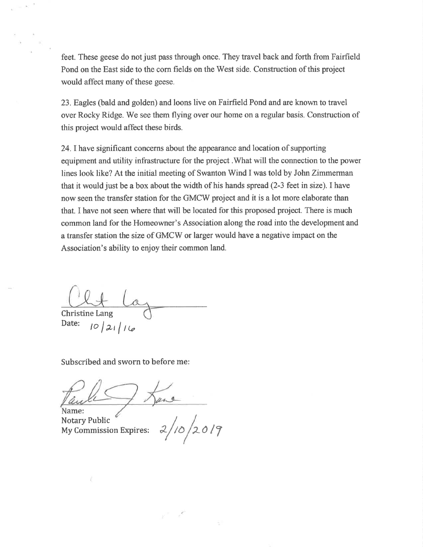feet. These geese do not just pass through once. They travel back and forth from Fairfield Pond on the East side to the corn fields on the West side. Construction of this project would affect many of these geese.

23. Eagles (bald and golden) and loons live on Fairfield Pond and are known to travel over Rocky Ridge. We see them flying over our home on a regular basis. Construction of this project would affect these birds.

24.Ihave significant concerns about the appearance and location of supporting equipment and utility infrastructure for the project .What will the connection to the power lines look like? At the initial meeting of Swanton Wind I was told by John Zimmerman that it would just be a box about the width of his hands spread (2-3 feet in size). I have now seen the transfer station for the GMCW project and it is a lot more elaborate than that. I have not seen where that will be located for this proposed project. There is much common land for the Homeowner's Association along the road into the development and a transfer station the size of GMCW or larger would have a negative impact on the Association's ability to enjoy their common land.

Christine Lang

Date:  $10/21/14$ 

Subscribed and sworn to before me:

ame:

Notary Public Notary Public Notary Public Expires:  $\frac{2}{10}$  /2019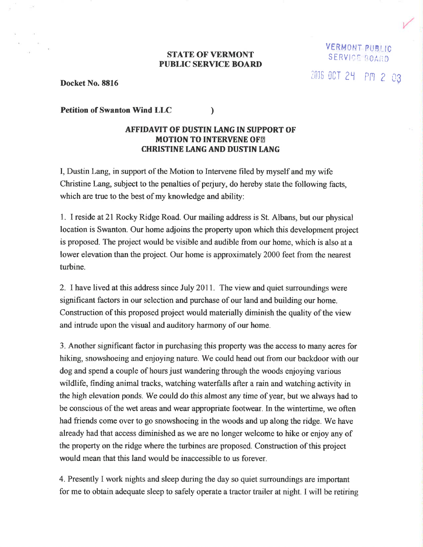#### **STATE OF VERMONT** PUBLIC SERYICE BOARI)

VERM0HT PUSt.lc SERVICE BOARD 2016 OCT 24 PM 2 03

Docket No. 8816

Petition of Swanton Wind LLC )

## AFFIDAVIT OF DUSTIN IANG IN SUPPORT OF **MOTION TO INTERVENE OF ?? CHRISTINE LANG AND DUSTIN LANG**

I, Dustin Lang, in support of the Motion to Intervene filed by myself and my wife Christine Lang, subject to the penalties of perjury, do hereby state the following facts, which are true to the best of my knowledge and ability:

1. I reside at 21 Rocky Ridge Road. Our mailing address is St. Albans, but our physical location is Swanton. Our home adjoins the property upon which this development project is proposed. The project would be visible and audible from our home, which is also at a lower elevation than the project. Our home is approximately 2000 feet from the nearest turbine.

2. I have lived at this address since July 2011. The view and quiet surroundings were significant factors in our selection and purchase of our land and building our home. Construction of this proposed project would materially diminish the quality of the view and intrude upon the visual and auditory harmony of our home.

3. Another significant factor in purchasing this property was the access to many acres for hiking, snowshoeing and enjoying nature. We could head out from our backdoor with our dog and spend a couple of hours just wandering through the woods enjoying various wildlife, finding animal tracks, watching waterfalls after a rain and watching activity in the high elevation ponds. We could do this almost any time of year, but we always had to be conscious of the wet areas and wear appropriate footwear. In the wintertime, we often had friends come over to go snowshoeing in the woods and up along the ridge. We have already had that access diminished as we are no longer welcome to hike or enjoy any of the property on the ridge where the turbines are proposed. Construction of this project would mean that this land would be inaccessible to us forever.

4. Presently I work nights and sleep during the day so quiet surroundings are important for me to obtain adequate sleep to safely operate a tractor trailer at night. I will be retiring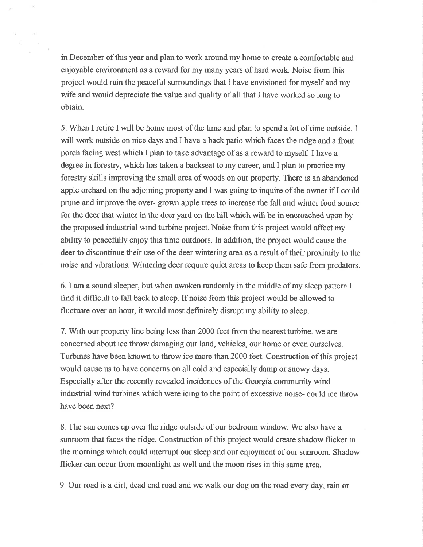in December of this year and plan to work around my home to create a comfortable and enjoyable environment as a reward for my many years of hard work. Noise from this project would ruin the peaceful surroundings that I have envisioned for myself and my wife and would depreciate the value and quality of all that I have worked so long to obtain.

5. When I retire I will be home most of the time and plan to spend a lot of time outside. I will work outside on nice days and I have a back patio which faces the ridge and a front porch facing west which I plan to take advantage of as a reward to myself. I have a degree in forestry, which has taken a backseat to my career, and I plan to practice my forestry skills improving the small area of woods on our property. There is an abandoned apple orchard on the adjoining property and I was going to inquire of the owrer if I could prune and improve the over- grown apple trees to increase the fall and winter food source for the deer that winter in the deer yard on the hill which will be in encroached upon by the proposed industrial wind turbine project. Noise from this project would affect my ability to peacefully enjoy this time outdoors. In addition, the project would cause the deer to discontinue their use of the deer wintering area as a result of their proximity to the noise and vibrations. Wintering deer require quiet areas to keep them safe from predators.

6. I am a sound sleeper, but when awoken randomly in the middle of my sleep pattern I find it diffrcult to fall back to sleep. If noise from this project would be allowed to fluctuate over an hour, it would most definitely disrupt my ability to sleep.

7. With our property line being less than 2000 feet from the nearest turbine, we are concerned about ice throw damaging our land, vehicles, our home or even ourselves. Turbines have been known to throw ice more than 2000 feet. Construction of this project would cause us to have concerns on all cold and especially damp or snowy days. Especially after the recently revealed incidences of the Georgia community wind industrial wind turbines which were icing to the point of excessive noise- could ice throw have been next?

8. The sun comes up over the ridge outside of our bedroom window. We also have a sunroom that faces the ridge. Construction of this project would create shadow flicker in the mornings which could interrupt our sleep and our enjoyment of our sunroom. Shadow flicker can occur from moonlight as well and the moon rises in this same area.

9. Our road is a dirt, dead end road and we walk our dog on the road every day, rain or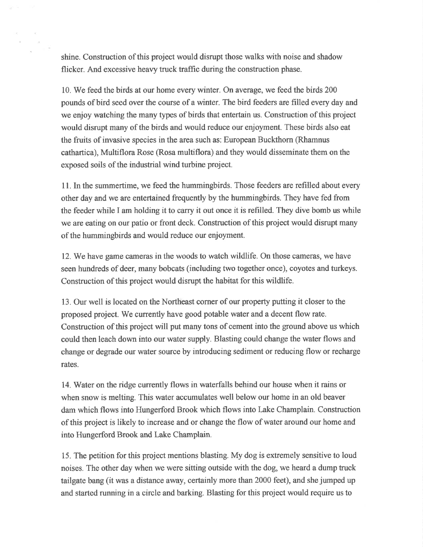shine. Construction of this project would disrupt those walks with noise and shadow flicker. And excessive heavy truck traffic during the construction phase.

10. We feed the birds at our home every winter. On average, we feed the birds 200 pounds of bird seed over the course of a winter. The bird feeders are filled every day and we enjoy watching the many types of birds that entertain us. Construction of this project would disrupt many of the birds and would reduce our enjoyment. These birds also eat the fruits of invasive species in the area such as: European Buckfhom (Rhamnus cathartica), Multiflora Rose (Rosa multiflora) and they would dissemínate them on the exposed soils of the industrial wind turbine project.

11. In the summertime, we feed the hummingbirds. Those feeders are refilled about every other day and we are entertained frequently by the hummingbirds, They have fed from the feeder while I am holding it to carry it out once it is refilled. They dive bomb us while we are eating on our patio or front deck. Construction of this project would disrupt many of the hummingbirds and would reduce our enjoyment.

12. We have game cameras in the woods to watch wildlife. On those cameras, we have seen hundreds of deer, many bobcats (including two together once), coyotes and turkeys. Construction of this project would disrupt the habitat for this wildlife.

13. Our well is located on the Northeast corner of our properly putting it closer to the proposed project. We currently have good potable water and a decent flow rate. Construction of this project will put many tons of cement into the ground above us which could then leach down into our water supply. Blasting could change the water flows and change or degrade our water source by introducing sediment or reducing flow or recharge rates.

14. Water on the ridge currently flows in waterfalls behind our house when it rains or when snow is melting. This water accumulates well below our home in an old beaver dam which flows into Hungerford Brook which flows into Lake Champlain. Construction of this project is likely to increase and or change the flow of water around our home and into Hungerford Brook and Lake Champlain.

15. The petition for this project mentions blasting. My dog is extremely sensitive to loud noises. The other day when we were sitting outside with the dog, we heard a dump truck tailgate bang (it was a distance away, certainly more than 2000 feet), and she jumped up and started running in a circle and barking. Blasting for this project would require us to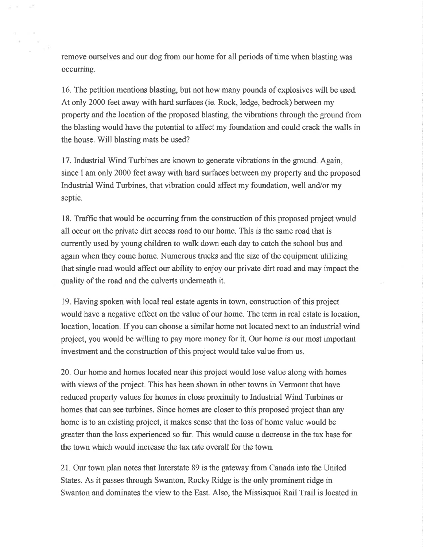remove ourselves and our dog from our home for all periods of time when blasting was occurring.

16. The petition mentions blasting, but not how many pounds of explosives will be used. At only 2000 feet away with hard surfaces (ie. Rock, ledge, bedrock) between my property and the location of the proposed blasting, the vibrations through the ground from the blasting would have the potential to affect my foundation and could crack the walls in the house. Will blasting mats be used?

17. Industrial Wind Turbines are known to generate vibrations in the ground. Again, since I am only 2000 feet away with hard surfaces between my property and the proposed Industrial Wind Turbines, that vibration could affect my foundation, well and/or my septic.

18. Traffic that would be occurring from the construction of this proposed project would all occur on the private dirt access road to our home. This is the same road that is currentþ used by young children to walk down each day to catch the school bus and again when they come home. Numerous trucks and the size of the equipment utilizing that single road would affect our ability to enjoy our private dirt road and may impact the quality of the road and the culverts underneath it.

19. Having spoken with local real estate agents in town, construction of this project would have a negative effect on the value of our home. The terrn in real estate is location, location, location. If you can choose a similar home not located next to an industrial wind project, you would be willing to pay more money for it. Our home is our most important investment and the construction of this project would take value from us.

20. Our home and homes located near this project would lose value along with homes with views of the project. This has been shown in other towns in Vermont that have reduced property values for homes in close proximity to Industrial Wind Turbines or homes that can see turbines. Since homes are closer to this proposed project than any home is to an existing project, it makes sense that the loss of home value would be greater than the loss experienced so far. This would cause a decrease in the tax base for the town which would increase the tax rate overall for the town.

21. Our town plan notes that Interstate 89 is the gateway from Canada into the United States. As it passes through Swanton, Rocky Ridge is the only prominent ridge in Swanton and dominates the view to the East. Also, the Missisquoi Rail Trail is located in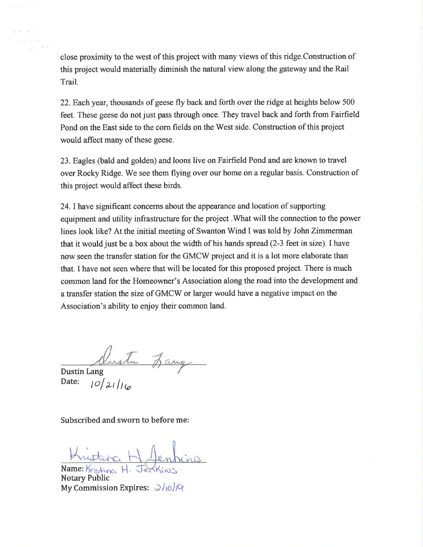close proximity to the west of this project with many views of this ridge.Construction of this project would materially diminish the natural view along the gateway and the Rail Trail.

22.Eachyear, thousands of geese fly back and forth over the ridge at heights below 500 feet. These geese do not just pass through once. They travel back and forth from Fairfield Pond on the East side to the com fields on the West side. Construction of this project would affect many of these geese.

23. Eagles (bald and golden) and loons live on Fairñeld Pond and are known to travel over Rocky Ridge. We see them flying over our home on a regular basis. Construction of this project would affect these birds.

24.Ihave significant concerns about the appearance and location of supporting equipment and utility infrastructure for the project .What will the connection to the power lines look like? At the initial meeting of Swanton Wind I was told by John Zimmerman that it would just be a box about the width of his hands spread (2-3 feet in size). I have now seen the transfer station for the GMCW project and it is a lot more elaborate than that. I have not seen where that will be located for this proposed project. There is much common land for the Homeowner's Association along the road into the development and a transfer station the size of GMCW or larger would have a negative impact on the Association's ability to enjoy their common land.

Dustin Lang Date:  $\frac{1}{\frac{1}{2} \left|\frac{1}{\omega}\right|}$ 

Subscribed and sworn to before me:

 $Name: K<sub>is</sub>  $H$$ Notary Public My Commission Expires:  $\partial/\partial\mathcal{F}$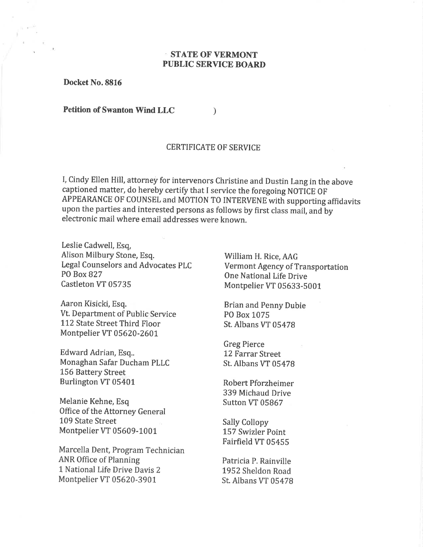## STATE OF VERMONT PUBLIC SERVICE BOARD

Docket No.8816

Petition of Swanton Wind LLC

#### CERTIFICATE OF SERVICE

 $\lambda$ 

I, Cindy Ellen Hill, attorney for intervenors Christine and Dustin Lang in the above captioned matter, do hereby certify that I service the foregoing NOTICE OF APPEARANCE OF COUNSEL and MOTION TO INTERVENE with supporting affidavits upon the parties and interested persons as follows by first class mail, and by electronic mail where email addresses were known.

Leslie Cadwell, Esq, Alison Milbury Stone, Esq. Legal Counselors and Advocates PLC PO Box 827 Castleton VT 05735

Aaron Kisicki, Esq. Vt. Department of Public Service 112 State Street Third Floor Montpelier VT 05620-2601

Edward Adrian, Esq.. Monaghan Safar Ducham PLLC 156 Battery Street Burlington VT 05401

Melanie Kehne, Esq Office of the Attorney General 109 State Street Montpelier VT 05609-1001

Marcella Dent, Program Technician ANR Office of Planning 1 National Life Drive Davis 2 Montpelier VT 05620-3901

William H. Rice, AAG Vermont Agency of Transportation One National Life Drive Montpelier VT 05633-5001

Brian and Penny Dubie PO Box 1075 St. Albans VT 05478

Greg Pierce 12 Farrar Street St. Albans VT 05478

Robert Pforzheimer 339 Michaud Drive Sutton VT 05867

Sally Collopy 157 Swizler Point Fairfield VT 05455

Patricia P. Rainville 1952 Sheldon Road St. Albans VT 05478